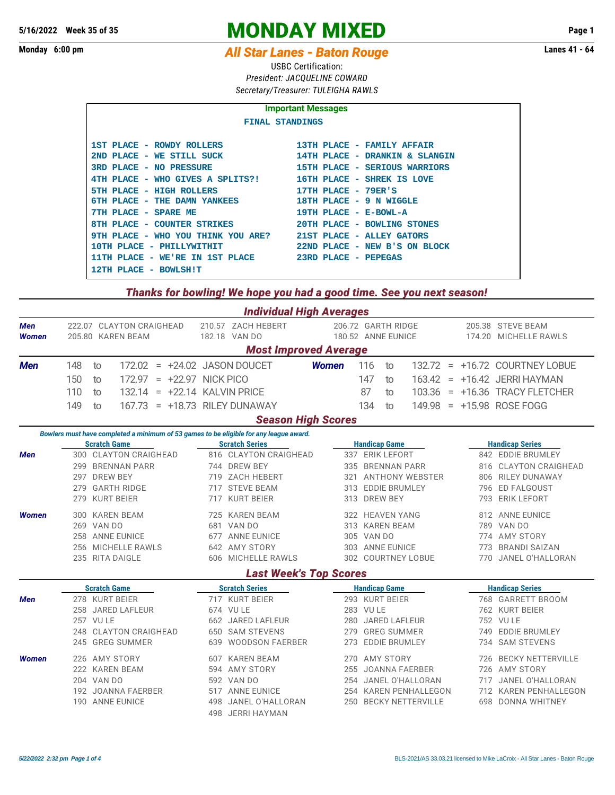## **5/16/2022** Week 35 of 35<br>
MONDAY MIXED Page 1<br>
Monday 6:00 pm

## **Monday 6:00 pm** *All Star Lanes - Baton Rouge*

USBC Certification: *President: JACQUELINE COWARD Secretary/Treasurer: TULEIGHA RAWLS*

| <b>Important Messages</b>                                    |                                |  |  |  |  |  |  |  |  |  |  |  |
|--------------------------------------------------------------|--------------------------------|--|--|--|--|--|--|--|--|--|--|--|
| <b>FINAL STANDINGS</b>                                       |                                |  |  |  |  |  |  |  |  |  |  |  |
|                                                              |                                |  |  |  |  |  |  |  |  |  |  |  |
| 1ST PLACE - ROWDY ROLLERS                                    | 13TH PLACE - FAMILY AFFAIR     |  |  |  |  |  |  |  |  |  |  |  |
| 2ND PLACE - WE STILL SUCK                                    | 14TH PLACE - DRANKIN & SLANGIN |  |  |  |  |  |  |  |  |  |  |  |
| 3RD PLACE - NO PRESSURE                                      | 15TH PLACE - SERIOUS WARRIORS  |  |  |  |  |  |  |  |  |  |  |  |
| 4TH PLACE - WHO GIVES A SPLITS?! 16TH PLACE - SHREK IS LOVE  |                                |  |  |  |  |  |  |  |  |  |  |  |
| 5TH PLACE - HIGH ROLLERS                                     | $17TH$ PLACE - $79ER'S$        |  |  |  |  |  |  |  |  |  |  |  |
| 6TH PLACE - THE DAMN YANKEES                                 | 18TH PLACE - 9 N WIGGLE        |  |  |  |  |  |  |  |  |  |  |  |
| 7TH PLACE - SPARE ME                                         | 19TH PLACE - E-BOWL-A          |  |  |  |  |  |  |  |  |  |  |  |
| 8TH PLACE - COUNTER STRIKES                                  | 20TH PLACE - BOWLING STONES    |  |  |  |  |  |  |  |  |  |  |  |
| 9TH PLACE - WHO YOU THINK YOU ARE? 21ST PLACE - ALLEY GATORS |                                |  |  |  |  |  |  |  |  |  |  |  |
| 10TH PLACE - PHILLYWITHIT                                    | 22ND PLACE - NEW B'S ON BLOCK  |  |  |  |  |  |  |  |  |  |  |  |
| 11TH PLACE - WE'RE IN 1ST PLACE 3RD PLACE - PEPEGAS          |                                |  |  |  |  |  |  |  |  |  |  |  |
| 12TH PLACE - BOWLSHIT                                        |                                |  |  |  |  |  |  |  |  |  |  |  |

## *Thanks for bowling! We hope you had a good time. See you next season!*

|                              |     |            |                                                                                        |  |  |                      |                                     | <b>Individual High Averages</b> |                                          |                      |            |                       |                          |                                            |                         |                                  |                       |
|------------------------------|-----|------------|----------------------------------------------------------------------------------------|--|--|----------------------|-------------------------------------|---------------------------------|------------------------------------------|----------------------|------------|-----------------------|--------------------------|--------------------------------------------|-------------------------|----------------------------------|-----------------------|
| Men<br><b>Women</b>          |     |            | 222.07 CLAYTON CRAIGHEAD<br>205.80 KAREN BEAM                                          |  |  |                      | 210.57 ZACH HEBERT<br>182.18 VAN DO |                                 | 206.72 GARTH RIDGE<br>180.52 ANNE EUNICE |                      |            |                       |                          | 205.38 STEVE BEAM<br>174.20 MICHELLE RAWLS |                         |                                  |                       |
| <b>Most Improved Average</b> |     |            |                                                                                        |  |  |                      |                                     |                                 |                                          |                      |            |                       |                          |                                            |                         |                                  |                       |
| <b>Men</b>                   | 148 | to         | 172.02                                                                                 |  |  |                      | $= +24.02$ JASON DOUCET             |                                 | <b>Women</b>                             |                      | 116        | to                    |                          |                                            |                         | $132.72 = +16.72$ COURTNEY LOBUE |                       |
|                              | 150 | to         | 172.97                                                                                 |  |  | $= +22.97$ NICK PICO |                                     |                                 |                                          |                      | 147        | to                    | 163.42                   |                                            |                         | $= +16.42$ JERRI HAYMAN          |                       |
|                              | 110 | to         | 132.14                                                                                 |  |  |                      | $= +22.14$ KALVIN PRICE             |                                 |                                          |                      | 87         | to                    | 103.36                   |                                            |                         | = +16.36 TRACY FLETCHER          |                       |
|                              | 149 | to         | 167.73                                                                                 |  |  |                      | = +18.73 RILEY DUNAWAY              |                                 |                                          |                      | 134        | to                    |                          |                                            |                         | 149.98 = +15.98 ROSE FOGG        |                       |
|                              |     |            |                                                                                        |  |  |                      |                                     | <b>Season High Scores</b>       |                                          |                      |            |                       |                          |                                            |                         |                                  |                       |
|                              |     |            | Bowlers must have completed a minimum of 53 games to be eligible for any league award. |  |  |                      |                                     |                                 |                                          |                      |            |                       |                          |                                            |                         |                                  |                       |
|                              |     |            | <b>Scratch Game</b>                                                                    |  |  |                      | <b>Scratch Series</b>               |                                 |                                          |                      |            | <b>Handicap Game</b>  |                          |                                            |                         | <b>Handicap Series</b>           |                       |
| <b>Men</b>                   |     |            | 300 CLAYTON CRAIGHEAD                                                                  |  |  |                      |                                     | 816 CLAYTON CRAIGHEAD           |                                          |                      |            | 337 ERIK LEFORT       |                          |                                            |                         | 842 EDDIE BRUMLEY                |                       |
|                              | 299 |            | <b>BRENNAN PARR</b>                                                                    |  |  |                      | 744 DREW BEY                        |                                 |                                          | 335                  |            | <b>BRENNAN PARR</b>   |                          |                                            | 816                     |                                  | CLAYTON CRAIGHEAD     |
|                              | 297 |            | <b>DREW BEY</b>                                                                        |  |  |                      | 719 ZACH HEBERT                     |                                 |                                          | 321                  |            |                       | <b>ANTHONY WEBSTER</b>   |                                            | 806                     | <b>RILEY DUNAWAY</b>             |                       |
|                              | 279 |            | <b>GARTH RIDGE</b>                                                                     |  |  |                      | 717 STEVE BEAM                      |                                 |                                          | 313                  |            | <b>EDDIE BRUMLEY</b>  |                          |                                            | 796                     | <b>ED FALGOUST</b>               |                       |
|                              | 279 |            | <b>KURT BEIER</b>                                                                      |  |  |                      | 717 KURT BEIER                      |                                 |                                          | 313                  |            | <b>DREW BEY</b>       |                          |                                            | 793                     | <b>ERIK LEFORT</b>               |                       |
| <b>Women</b>                 |     |            | 300 KAREN BEAM                                                                         |  |  |                      | 725 KAREN BEAM                      |                                 |                                          |                      |            | 322 HEAVEN YANG       |                          |                                            |                         | 812 ANNE EUNICE                  |                       |
|                              |     | 269 VAN DO |                                                                                        |  |  |                      | 681 VAN DO                          |                                 |                                          |                      |            | 313 KAREN BEAM        |                          |                                            |                         | 789 VAN DO                       |                       |
|                              |     |            | 258 ANNE EUNICE                                                                        |  |  |                      | 677 ANNE EUNICE                     |                                 |                                          |                      | 305 VAN DO |                       |                          |                                            |                         | 774 AMY STORY                    |                       |
|                              |     |            | 256 MICHELLE RAWLS                                                                     |  |  |                      | 642 AMY STORY                       |                                 |                                          |                      |            | 303 ANNE EUNICE       |                          |                                            | 773                     | <b>BRANDI SAIZAN</b>             |                       |
|                              |     |            | 235 RITA DAIGLE                                                                        |  |  | 606 MICHELLE RAWLS   |                                     |                                 |                                          | 302 COURTNEY LOBUE   |            |                       |                          |                                            | JANEL O'HALLORAN<br>770 |                                  |                       |
|                              |     |            |                                                                                        |  |  |                      |                                     | <b>Last Week's Top Scores</b>   |                                          |                      |            |                       |                          |                                            |                         |                                  |                       |
|                              |     |            | <b>Scratch Game</b>                                                                    |  |  |                      | <b>Scratch Series</b>               |                                 |                                          | <b>Handicap Game</b> |            |                       |                          |                                            | <b>Handicap Series</b>  |                                  |                       |
| Men                          |     |            | 278 KURT BEIER                                                                         |  |  |                      | 717 KURT BEIER                      |                                 |                                          |                      |            | 293 KURT BEIER        |                          |                                            |                         | 768 GARRETT BROOM                |                       |
|                              |     |            | 258 JARED LAFLEUR                                                                      |  |  |                      | 674 VU LE                           |                                 |                                          |                      | 283 VU LE  |                       |                          |                                            |                         | 762 KURT BEIER                   |                       |
|                              |     | 257 VU LE  |                                                                                        |  |  |                      | 662 JARED LAFLEUR                   |                                 |                                          |                      |            | 280 JARED LAFLEUR     |                          |                                            |                         | 752 VU LE                        |                       |
|                              | 248 |            | <b>CLAYTON CRAIGHEAD</b>                                                               |  |  |                      | 650 SAM STEVENS                     |                                 |                                          | 279                  |            | <b>GREG SUMMER</b>    |                          |                                            | 749                     | <b>EDDIE BRUMLEY</b>             |                       |
|                              | 245 |            | <b>GREG SUMMER</b>                                                                     |  |  | 639                  | <b>WOODSON FAERBER</b>              |                                 |                                          | 273                  |            | <b>EDDIE BRUMLEY</b>  |                          |                                            | 734                     | <b>SAM STEVENS</b>               |                       |
| <b>Women</b>                 |     |            | 226 AMY STORY                                                                          |  |  |                      | 607 KAREN BEAM                      |                                 |                                          | 270                  |            | AMY STORY             |                          |                                            | 726                     | <b>BECKY NETTERVILLE</b>         |                       |
|                              |     |            | 222 KAREN BEAM                                                                         |  |  |                      | 594 AMY STORY                       |                                 |                                          | 255                  |            | <b>JOANNA FAERBER</b> |                          |                                            | 726                     | AMY STORY                        |                       |
|                              |     | 204 VAN DO |                                                                                        |  |  |                      | 592 VAN DO                          |                                 |                                          | 254                  |            |                       | JANEL O'HALLORAN         |                                            | 717                     | JANEL O'HALLORAN                 |                       |
|                              |     |            | 192 JOANNA FAERBER                                                                     |  |  |                      | 517 ANNE EUNICE                     |                                 |                                          | 254                  |            |                       | <b>KAREN PENHALLEGON</b> |                                            |                         |                                  | 712 KAREN PENHALLEGON |
|                              |     |            | 190 ANNE EUNICE                                                                        |  |  | 498                  | JANEL O'HALLORAN                    |                                 |                                          | 250                  |            |                       | <b>BECKY NETTERVILLE</b> |                                            | 698                     | <b>DONNA WHITNEY</b>             |                       |
|                              |     |            |                                                                                        |  |  |                      | 498 JERRI HAYMAN                    |                                 |                                          |                      |            |                       |                          |                                            |                         |                                  |                       |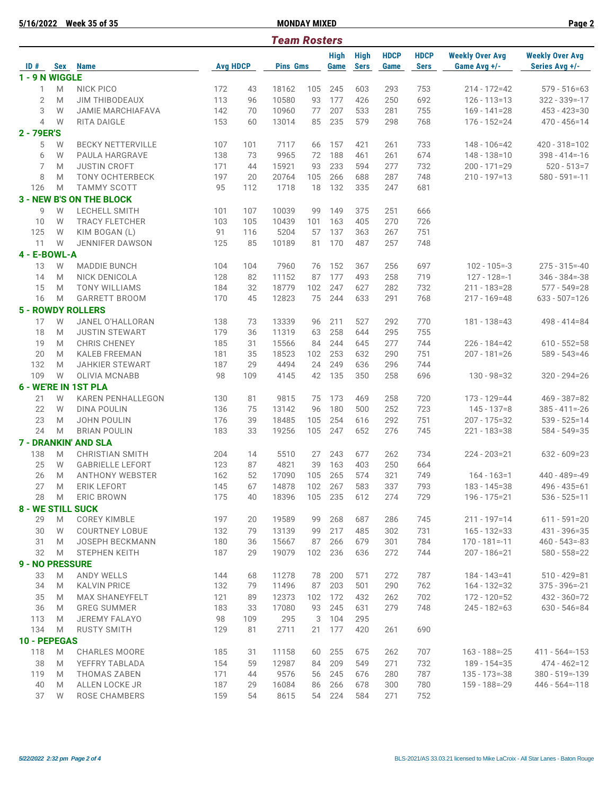**5/16/2022 Week 35 of 35 MONDAY MIXED Page 2**

| <b>Team Rosters</b>      |            |                                 |                 |     |                 |     |                     |                            |                     |                            |                                        |                                          |
|--------------------------|------------|---------------------------------|-----------------|-----|-----------------|-----|---------------------|----------------------------|---------------------|----------------------------|----------------------------------------|------------------------------------------|
| ID#                      | <b>Sex</b> | <b>Name</b>                     | <b>Avg HDCP</b> |     | <b>Pins Gms</b> |     | <b>High</b><br>Game | <b>High</b><br><b>Sers</b> | <b>HDCP</b><br>Game | <b>HDCP</b><br><b>Sers</b> | <b>Weekly Over Avg</b><br>Game Avg +/- | <b>Weekly Over Avg</b><br>Series Avg +/- |
| 1 - 9 N WIGGLE           |            |                                 |                 |     |                 |     |                     |                            |                     |                            |                                        |                                          |
| 1                        | M          | <b>NICK PICO</b>                | 172             | 43  | 18162           | 105 | 245                 | 603                        | 293                 | 753                        | $214 - 172 = 42$                       | $579 - 516 = 63$                         |
| $\overline{2}$           | M          | <b>JIM THIBODEAUX</b>           | 113             | 96  | 10580           | 93  | 177                 | 426                        | 250                 | 692                        | $126 - 113 = 13$                       | $322 - 339 = -17$                        |
| 3                        | W          | <b>JAMIE MARCHIAFAVA</b>        | 142             | 70  | 10960           | 77  | 207                 | 533                        | 281                 | 755                        | $169 - 141 = 28$                       | $453 - 423 = 30$                         |
| $\overline{4}$           | W          | RITA DAIGLE                     | 153             | 60  | 13014           | 85  | 235                 | 579                        | 298                 | 768                        | $176 - 152 = 24$                       | $470 - 456 = 14$                         |
| 2 - 79ER'S               |            |                                 |                 |     |                 |     |                     |                            |                     |                            |                                        |                                          |
| 5                        | W          | <b>BECKY NETTERVILLE</b>        | 107             | 101 | 7117            | 66  | 157                 | 421                        | 261                 | 733                        | $148 - 106 = 42$                       | 420 - 318=102                            |
| 6                        | W          | PAULA HARGRAVE                  | 138             | 73  | 9965            | 72  | 188                 | 461                        | 261                 | 674                        | $148 - 138 = 10$                       | $398 - 414 = -16$                        |
| 7                        | M          | <b>JUSTIN CROFT</b>             | 171             | 44  | 15921           | 93  | 233                 | 594                        | 277                 | 732                        | $200 - 171 = 29$                       | $520 - 513 = 7$                          |
| 8                        | M          | <b>TONY OCHTERBECK</b>          | 197             | 20  | 20764           | 105 | 266                 | 688                        | 287                 | 748                        | 210 - 197=13                           | $580 - 591 = -11$                        |
| 126                      | M          | <b>TAMMY SCOTT</b>              | 95              | 112 | 1718            | 18  | 132                 | 335                        | 247                 | 681                        |                                        |                                          |
|                          |            | <b>3 - NEW B'S ON THE BLOCK</b> |                 |     |                 |     |                     |                            |                     |                            |                                        |                                          |
| 9                        | W          | LECHELL SMITH                   | 101             | 107 | 10039           | 99  | 149                 | 375                        | 251                 | 666                        |                                        |                                          |
| 10                       | W          | <b>TRACY FLETCHER</b>           | 103             | 105 | 10439           | 101 | 163                 | 405                        | 270                 | 726                        |                                        |                                          |
| 125                      | W          | KIM BOGAN (L)                   | 91              | 116 | 5204            | 57  | 137                 | 363                        | 267                 | 751                        |                                        |                                          |
| 11                       | W          | <b>JENNIFER DAWSON</b>          | 125             | 85  | 10189           | 81  | 170                 | 487                        | 257                 | 748                        |                                        |                                          |
| 4 - E-BOWL-A             |            |                                 |                 |     |                 |     |                     |                            |                     |                            |                                        |                                          |
|                          |            |                                 |                 |     |                 |     |                     |                            |                     |                            |                                        |                                          |
| 13                       | W          | <b>MADDIE BUNCH</b>             | 104             | 104 | 7960            | 76  | 152                 | 367                        | 256                 | 697                        | $102 - 105 = -3$                       | $275 - 315 = -40$                        |
| 14                       | M          | NICK DENICOLA                   | 128             | 82  | 11152           | 87  | 177                 | 493                        | 258                 | 719                        | $127 - 128 = -1$                       | $346 - 384 = -38$                        |
| 15                       | M          | <b>TONY WILLIAMS</b>            | 184             | 32  | 18779           | 102 | 247                 | 627                        | 282                 | 732                        | $211 - 183 = 28$                       | $577 - 549 = 28$                         |
| 16                       | M          | <b>GARRETT BROOM</b>            | 170             | 45  | 12823           | 75  | 244                 | 633                        | 291                 | 768                        | 217 - 169=48                           | $633 - 507 = 126$                        |
|                          |            | <b>5 - ROWDY ROLLERS</b>        |                 |     |                 |     |                     |                            |                     |                            |                                        |                                          |
| 17                       | W          | JANEL O'HALLORAN                | 138             | 73  | 13339           | 96  | 211                 | 527                        | 292                 | 770                        | 181 - 138 = 43                         | 498 - 414 = 84                           |
| 18                       | M          | <b>JUSTIN STEWART</b>           | 179             | 36  | 11319           | 63  | 258                 | 644                        | 295                 | 755                        |                                        |                                          |
| 19                       | M          | <b>CHRIS CHENEY</b>             | 185             | 31  | 15566           | 84  | 244                 | 645                        | 277                 | 744                        | $226 - 184 = 42$                       | $610 - 552 = 58$                         |
| 20                       | M          | <b>KALEB FREEMAN</b>            | 181             | 35  | 18523           | 102 | 253                 | 632                        | 290                 | 751                        | $207 - 181 = 26$                       | $589 - 543 = 46$                         |
| 132                      | M          | <b>JAHKIER STEWART</b>          | 187             | 29  | 4494            | 24  | 249                 | 636                        | 296                 | 744                        |                                        |                                          |
| 109                      | W          | <b>OLIVIA MCNABB</b>            | 98              | 109 | 4145            | 42  | 135                 | 350                        | 258                 | 696                        | $130 - 98 = 32$                        | $320 - 294 = 26$                         |
|                          |            | 6 - WE'RE IN 1ST PLA            |                 |     |                 |     |                     |                            |                     |                            |                                        |                                          |
| 21                       | W          | <b>KAREN PENHALLEGON</b>        | 130             | 81  | 9815            | 75  | 173                 | 469                        | 258                 | 720                        | $173 - 129 = 44$                       | $469 - 387 = 82$                         |
| 22                       | W          | <b>DINA POULIN</b>              | 136             | 75  | 13142           | 96  | 180                 | 500                        | 252                 | 723                        | $145 - 137 = 8$                        | $385 - 411 = -26$                        |
| 23                       | M          | <b>JOHN POULIN</b>              | 176             | 39  | 18485           | 105 | 254                 | 616                        | 292                 | 751                        | $207 - 175 = 32$                       | $539 - 525 = 14$                         |
| 24                       | M          | <b>BRIAN POULIN</b>             | 183             | 33  | 19256           | 105 | 247                 | 652                        | 276                 | 745                        | $221 - 183 = 38$                       | $584 - 549 = 35$                         |
|                          |            | <b>7 - DRANKIN' AND SLA</b>     |                 |     |                 |     |                     |                            |                     |                            |                                        |                                          |
| 138                      | M          | <b>CHRISTIAN SMITH</b>          | 204             | 14  | 5510            | 27  | 243                 | 677                        | 262                 | 734                        | $224 - 203 = 21$                       | $632 - 609 = 23$                         |
| 25                       | W          | <b>GABRIELLE LEFORT</b>         | 123             | 87  | 4821            | 39  | 163                 | 403                        | 250                 | 664                        |                                        |                                          |
| 26                       | M          | <b>ANTHONY WEBSTER</b>          | 162             | 52  | 17090           | 105 | 265                 | 574                        | 321                 | 749                        | $164 - 163 = 1$                        | $440 - 489 = -49$                        |
| 27                       | M          | ERIK LEFORT                     | 145             | 67  | 14878           | 102 | 267                 | 583                        | 337                 | 793                        | 183 - 145=38                           | $496 - 435 = 61$                         |
| 28                       | M          | <b>ERIC BROWN</b>               | 175             | 40  | 18396           |     | 105 235             | 612                        | 274                 | 729                        | 196 - 175 = 21                         | $536 - 525 = 11$                         |
| <b>8 - WE STILL SUCK</b> |            |                                 |                 |     |                 |     |                     |                            |                     |                            |                                        |                                          |
| 29                       | M          | <b>COREY KIMBLE</b>             | 197             | 20  | 19589           | 99  | 268                 | 687                        | 286                 | 745                        | 211 - 197=14                           | $611 - 591 = 20$                         |
| 30                       | W          | <b>COURTNEY LOBUE</b>           | 132             | 79  | 13139           | 99  | 217                 | 485                        | 302                 | 731                        | $165 - 132 = 33$                       | 431 - 396 = 35                           |
| 31                       | M          | JOSEPH BECKMANN                 | 180             | 36  | 15667           | 87  | 266                 | 679                        | 301                 | 784                        | $170 - 181 = -11$                      | $460 - 543 = -83$                        |
| 32                       | M          | <b>STEPHEN KEITH</b>            | 187             | 29  | 19079           | 102 | 236                 | 636                        | 272                 | 744                        | $207 - 186 = 21$                       | $580 - 558 = 22$                         |
| <b>9 - NO PRESSURE</b>   |            |                                 |                 |     |                 |     |                     |                            |                     |                            |                                        |                                          |
|                          |            |                                 |                 |     |                 |     |                     |                            |                     |                            |                                        |                                          |
| 33                       | M          | <b>ANDY WELLS</b>               | 144             | 68  | 11278           | 78  | 200                 | 571                        | 272                 | 787                        | $184 - 143 = 41$                       | $510 - 429 = 81$                         |
| 34                       | M          | <b>KALVIN PRICE</b>             | 132             | 79  | 11496           | 87  | 203                 | 501                        | 290                 | 762                        | 164 - 132=32                           | $375 - 396 = -21$                        |
| 35                       | M          | <b>MAX SHANEYFELT</b>           | 121             | 89  | 12373           | 102 | 172                 | 432                        | 262                 | 702                        | $172 - 120 = 52$                       | 432 - 360 = 72                           |
| 36                       | M          | <b>GREG SUMMER</b>              | 183             | 33  | 17080           | 93  | 245                 | 631                        | 279                 | 748                        | $245 - 182 = 63$                       | $630 - 546 = 84$                         |
| 113                      | M          | <b>JEREMY FALAYO</b>            | 98              | 109 | 295             | 3   | 104                 | 295                        |                     |                            |                                        |                                          |
| 134                      | M          | <b>RUSTY SMITH</b>              | 129             | 81  | 2711            | 21  | 177                 | 420                        | 261                 | 690                        |                                        |                                          |
| 10 - PEPEGAS             |            |                                 |                 |     |                 |     |                     |                            |                     |                            |                                        |                                          |
| 118                      | M          | <b>CHARLES MOORE</b>            | 185             | 31  | 11158           | 60  | 255                 | 675                        | 262                 | 707                        | $163 - 188 = -25$                      | $411 - 564 = -153$                       |
| 38                       | M          | YEFFRY TABLADA                  | 154             | 59  | 12987           | 84  | 209                 | 549                        | 271                 | 732                        | 189 - 154=35                           | 474 - 462=12                             |
| 119                      | M          | <b>THOMAS ZABEN</b>             | 171             | 44  | 9576            | 56  | 245                 | 676                        | 280                 | 787                        | $135 - 173 = -38$                      | $380 - 519 = -139$                       |
| 40                       | M          | ALLEN LOCKE JR                  | 187             | 29  | 16084           | 86  | 266                 | 678                        | 300                 | 780                        | $159 - 188 = -29$                      | $446 - 564 = -118$                       |
| 37                       | W          | ROSE CHAMBERS                   | 159             | 54  | 8615            |     | 54 224              | 584                        | 271                 | 752                        |                                        |                                          |

*5/22/2022 2:32 pm Page 2 of 4* BLS-2021/AS 33.03.21 licensed to Mike LaCroix - All Star Lanes - Baton Rouge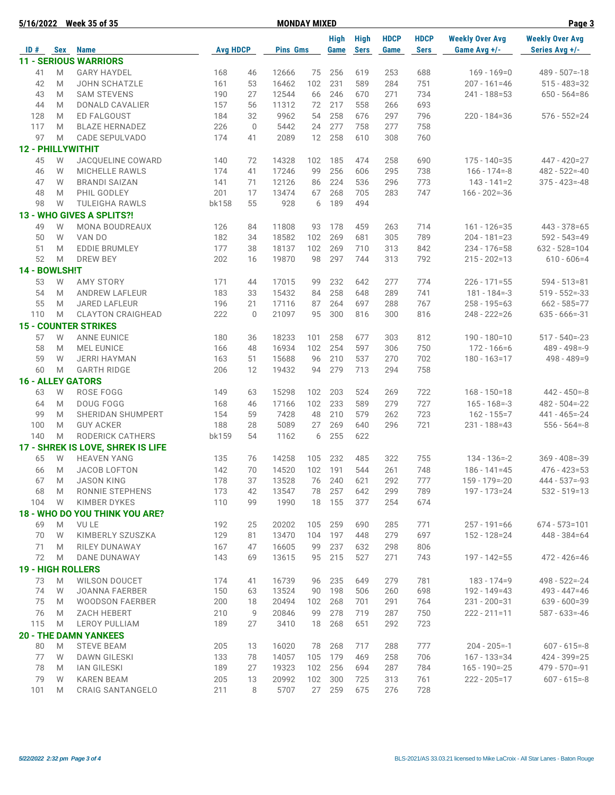|               |        | 5/16/2022 Week 35 of 35               |                 |             | <b>MONDAY MIXED</b> |           | Page 3              |                            |                     |                            |                                        |                                          |
|---------------|--------|---------------------------------------|-----------------|-------------|---------------------|-----------|---------------------|----------------------------|---------------------|----------------------------|----------------------------------------|------------------------------------------|
| ID#           |        | Sex Name                              | <b>Avg HDCP</b> |             | <b>Pins Gms</b>     |           | <b>High</b><br>Game | <b>High</b><br><b>Sers</b> | <b>HDCP</b><br>Game | <b>HDCP</b><br><b>Sers</b> | <b>Weekly Over Avg</b><br>Game Avg +/- | <b>Weekly Over Avg</b><br>Series Avg +/- |
|               |        | <b>11 - SERIOUS WARRIORS</b>          |                 |             |                     |           |                     |                            |                     |                            |                                        |                                          |
| 41            | M      | <b>GARY HAYDEL</b>                    | 168             | 46          | 12666               | 75        | 256                 | 619                        | 253                 | 688                        | $169 - 169 = 0$                        | $489 - 507 = -18$                        |
| 42            | M      | <b>JOHN SCHATZLE</b>                  | 161             | 53          | 16462               | 102       | 231                 | 589                        | 284                 | 751                        | $207 - 161 = 46$                       | $515 - 483 = 32$                         |
| 43            | M      | <b>SAM STEVENS</b>                    | 190             | 27          | 12544               | 66        | 246                 | 670                        | 271                 | 734                        | 241 - 188=53                           | $650 - 564 = 86$                         |
| 44            | M      | DONALD CAVALIER                       | 157             | 56          | 11312               | 72        | 217                 | 558                        | 266                 | 693                        |                                        |                                          |
| 128           | M      | ED FALGOUST                           | 184             | 32          | 9962                | 54        | 258                 | 676                        | 297                 | 796                        | $220 - 184 = 36$                       | $576 - 552 = 24$                         |
| 117           | M      | <b>BLAZE HERNADEZ</b>                 | 226             | $\mathbf 0$ | 5442                | 24        | 277                 | 758                        | 277                 | 758                        |                                        |                                          |
| 97            | M      | CADE SEPULVADO                        | 174             | 41          | 2089                | 12        | 258                 | 610                        | 308                 | 760                        |                                        |                                          |
|               |        | <b>12 - PHILLYWITHIT</b>              |                 |             |                     |           |                     |                            |                     |                            |                                        |                                          |
| 45            | W      | JACQUELINE COWARD                     | 140             | 72          | 14328               | 102       | 185                 | 474                        | 258                 | 690                        | $175 - 140 = 35$                       | $447 - 420 = 27$                         |
| 46            | W      | <b>MICHELLE RAWLS</b>                 | 174             | 41          | 17246               | 99        | 256                 | 606                        | 295                 | 738                        | $166 - 174 = -8$                       | $482 - 522 = -40$                        |
| 47            | W      | <b>BRANDI SAIZAN</b>                  | 141             | 71          | 12126               | 86        | 224                 | 536                        | 296                 | 773                        | $143 - 141 = 2$                        | $375 - 423 = -48$                        |
| 48            | M      | PHIL GODLEY                           | 201             | 17          | 13474               | 67        | 268                 | 705                        | 283                 | 747                        | $166 - 202 = -36$                      |                                          |
| 98            | W      | <b>TULEIGHA RAWLS</b>                 | bk158           | 55          | 928                 | 6         | 189                 | 494                        |                     |                            |                                        |                                          |
|               |        |                                       |                 |             |                     |           |                     |                            |                     |                            |                                        |                                          |
|               |        | 13 - WHO GIVES A SPLITS?!             |                 |             |                     |           |                     |                            |                     |                            |                                        |                                          |
| 49            | W      | <b>MONA BOUDREAUX</b><br>VAN DO       | 126<br>182      | 84          | 11808<br>18582      | 93<br>102 | 178<br>269          | 459                        | 263                 | 714<br>789                 | $161 - 126 = 35$<br>$204 - 181 = 23$   | $443 - 378 = 65$<br>$592 - 543 = 49$     |
| 50            | W      | <b>EDDIE BRUMLEY</b>                  |                 | 34          |                     |           |                     | 681                        | 305                 |                            |                                        |                                          |
| 51<br>52      | M<br>M | <b>DREW BEY</b>                       | 177<br>202      | 38          | 18137<br>19870      | 102<br>98 | 269<br>297          | 710<br>744                 | 313<br>313          | 842<br>792                 | $234 - 176 = 58$                       | $632 - 528 = 104$<br>$610 - 606 = 4$     |
| 14 - BOWLSH!T |        |                                       |                 | 16          |                     |           |                     |                            |                     |                            | $215 - 202 = 13$                       |                                          |
|               |        |                                       |                 |             |                     |           |                     |                            |                     |                            |                                        |                                          |
| 53            | W      | <b>AMY STORY</b>                      | 171             | 44          | 17015               | 99        | 232                 | 642                        | 277                 | 774                        | $226 - 171 = 55$                       | $594 - 513 = 81$                         |
| 54            | M      | <b>ANDREW LAFLEUR</b>                 | 183             | 33          | 15432               | 84        | 258                 | 648                        | 289                 | 741                        | $181 - 184 = -3$                       | $519 - 552 = -33$                        |
| 55            | M      | <b>JARED LAFLEUR</b>                  | 196             | 21          | 17116               | 87        | 264                 | 697                        | 288                 | 767                        | $258 - 195 = 63$                       | $662 - 585 = 77$                         |
| 110           | M      | <b>CLAYTON CRAIGHEAD</b>              | 222             | $\mathbf 0$ | 21097               | 95        | 300                 | 816                        | 300                 | 816                        | $248 - 222 = 26$                       | $635 - 666 = -31$                        |
|               |        | <b>15 - COUNTER STRIKES</b>           |                 |             |                     |           |                     |                            |                     |                            |                                        |                                          |
| 57            | W      | <b>ANNE EUNICE</b>                    | 180             | 36          | 18233               | 101       | 258                 | 677                        | 303                 | 812                        | $190 - 180 = 10$                       | $517 - 540 = -23$                        |
| 58            | M      | <b>MEL EUNICE</b>                     | 166             | 48          | 16934               | 102       | 254                 | 597                        | 306                 | 750                        | $172 - 166 = 6$                        | $489 - 498 = -9$                         |
| 59            | W      | <b>JERRI HAYMAN</b>                   | 163             | 51          | 15688               | 96        | 210                 | 537                        | 270                 | 702                        | $180 - 163 = 17$                       | $498 - 489 = 9$                          |
| 60            | M      | <b>GARTH RIDGE</b>                    | 206             | 12          | 19432               | 94        | 279                 | 713                        | 294                 | 758                        |                                        |                                          |
|               |        | <b>16 - ALLEY GATORS</b>              |                 |             |                     |           |                     |                            |                     |                            |                                        |                                          |
| 63            | W      | ROSE FOGG                             | 149             | 63          | 15298               | 102       | 203                 | 524                        | 269                 | 722                        | $168 - 150 = 18$                       | $442 - 450 = -8$                         |
| 64            | M      | <b>DOUG FOGG</b>                      | 168             | 46          | 17166               | 102       | 233                 | 589                        | 279                 | 727                        | $165 - 168 = -3$                       | $482 - 504 = -22$                        |
| 99            | M      | SHERIDAN SHUMPERT                     | 154             | 59          | 7428                | 48        | 210                 | 579                        | 262                 | 723                        | $162 - 155 = 7$                        | $441 - 465 = -24$                        |
| 100           | M      | <b>GUY ACKER</b>                      | 188             | 28          | 5089                | 27        | 269                 | 640                        | 296                 | 721                        | 231 - 188=43                           | $556 - 564 = -8$                         |
| 140           | M      | RODERICK CATHERS                      | bk159           | 54          | 1162                | 6         | 255                 | 622                        |                     |                            |                                        |                                          |
|               |        | 17 - SHREK IS LOVE, SHREK IS LIFE     |                 |             |                     |           |                     |                            |                     |                            |                                        |                                          |
| 65            | W      | <b>HEAVEN YANG</b>                    | 135             | 76          | 14258               | 105       | 232                 | 485                        | 322                 | 755                        | $134 - 136 = -2$                       | $369 - 408 = -39$                        |
| 66            | M      | JACOB LOFTON                          | 142             | 70          | 14520               | 102       | 191                 | 544                        | 261                 | 748                        | $186 - 141 = 45$                       | $476 - 423 = 53$                         |
| 67            | M      | <b>JASON KING</b>                     | 178             | 37          | 13528               | 76        | 240                 | 621                        | 292                 | 777                        | 159 - 179=-20                          | $444 - 537 = -93$                        |
| 68            | M      | RONNIE STEPHENS                       | 173             | 42          | 13547               | 78        | 257                 | 642                        | 299                 | 789                        | 197 - 173=24                           | $532 - 519 = 13$                         |
| 104           | W      | <b>KIMBER DYKES</b>                   | 110             | 99          | 1990                | 18        | 155                 | 377                        | 254                 | 674                        |                                        |                                          |
|               |        | <b>18 - WHO DO YOU THINK YOU ARE?</b> |                 |             |                     |           |                     |                            |                     |                            |                                        |                                          |
| 69            | M      | <b>VULE</b>                           | 192             | 25          | 20202               | 105       | 259                 | 690                        | 285                 | 771                        | $257 - 191 = 66$                       | $674 - 573 = 101$                        |
| 70            | W      | KIMBERLY SZUSZKA                      | 129             | 81          | 13470               | 104       | 197                 | 448                        | 279                 | 697                        | 152 - 128 = 24                         | $448 - 384 = 64$                         |
| 71            | M      | RILEY DUNAWAY                         | 167             | 47          | 16605               | 99        | 237                 | 632                        | 298                 | 806                        |                                        |                                          |
| 72            | M      | DANE DUNAWAY                          | 143             | 69          | 13615               | 95        | 215                 | 527                        | 271                 | 743                        | $197 - 142 = 55$                       | $472 - 426 = 46$                         |
|               |        | <b>19 - HIGH ROLLERS</b>              |                 |             |                     |           |                     |                            |                     |                            |                                        |                                          |
| 73            | M      | <b>WILSON DOUCET</b>                  | 174             | 41          | 16739               | 96        | 235                 | 649                        | 279                 | 781                        | $183 - 174 = 9$                        | $498 - 522 = -24$                        |
| 74            | W      | <b>JOANNA FAERBER</b>                 | 150             | 63          | 13524               | 90        | 198                 | 506                        | 260                 | 698                        | 192 - 149=43                           | $493 - 447 = 46$                         |
| 75            | M      | <b>WOODSON FAERBER</b>                | 200             | 18          | 20494               | 102       | 268                 | 701                        | 291                 | 764                        | $231 - 200 = 31$                       | $639 - 600 = 39$                         |
| 76            | M      | <b>ZACH HEBERT</b>                    | 210             | 9           | 20846               | 99        | 278                 | 719                        | 287                 | 750                        | $222 - 211 = 11$                       | $587 - 633 = -46$                        |
| 115           | M      | <b>LEROY PULLIAM</b>                  | 189             | 27          | 3410                | 18        | 268                 | 651                        | 292                 | 723                        |                                        |                                          |
|               |        | <b>20 - THE DAMN YANKEES</b>          |                 |             |                     |           |                     |                            |                     |                            |                                        |                                          |
| 80            | M      | <b>STEVE BEAM</b>                     | 205             | 13          | 16020               | 78        | 268                 | 717                        | 288                 | 777                        | $204 - 205 = -1$                       | $607 - 615 = -8$                         |
| 77            | W      | <b>DAWN GILESKI</b>                   | 133             | 78          | 14057               | 105       | 179                 | 469                        | 258                 | 706                        | $167 - 133 = 34$                       | 424 - 399 = 25                           |
| 78            | M      | <b>IAN GILESKI</b>                    | 189             | 27          | 19323               | 102       | 256                 | 694                        | 287                 | 784                        | $165 - 190 = -25$                      | $479 - 570 = -91$                        |
| 79            | W      | <b>KAREN BEAM</b>                     | 205             | 13          | 20992               | 102       | 300                 | 725                        | 313                 | 761                        | $222 - 205 = 17$                       | $607 - 615 = -8$                         |
| 101           | M      | CRAIG SANTANGELO                      | 211             | 8           | 5707                | 27        | 259                 | 675                        | 276                 | 728                        |                                        |                                          |